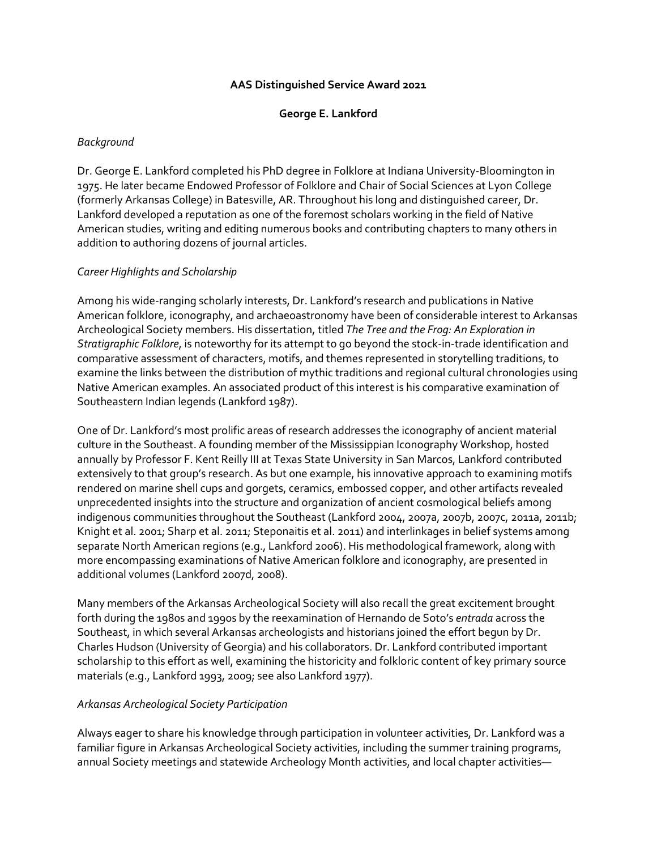### **AAS Distinguished Service Award 2021**

### **George E. Lankford**

### *Background*

Dr. George E. Lankford completed his PhD degree in Folklore at Indiana University-Bloomington in 1975. He later became Endowed Professor of Folklore and Chair of Social Sciences at Lyon College (formerly Arkansas College) in Batesville, AR. Throughout his long and distinguished career, Dr. Lankford developed a reputation as one of the foremost scholars working in the field of Native American studies, writing and editing numerous books and contributing chapters to many others in addition to authoring dozens of journal articles.

# *Career Highlights and Scholarship*

Among his wide-ranging scholarly interests, Dr. Lankford's research and publications in Native American folklore, iconography, and archaeoastronomy have been of considerable interest to Arkansas Archeological Society members. His dissertation, titled *The Tree and the Frog: An Exploration in Stratigraphic Folklore*, is noteworthy for its attempt to go beyond the stock-in-trade identification and comparative assessment of characters, motifs, and themes represented in storytelling traditions, to examine the links between the distribution of mythic traditions and regional cultural chronologies using Native American examples. An associated product of this interest is his comparative examination of Southeastern Indian legends (Lankford 1987).

One of Dr. Lankford's most prolific areas of research addresses the iconography of ancient material culture in the Southeast. A founding member of the Mississippian Iconography Workshop, hosted annually by Professor F. Kent Reilly III at Texas State University in San Marcos, Lankford contributed extensively to that group's research. As but one example, his innovative approach to examining motifs rendered on marine shell cups and gorgets, ceramics, embossed copper, and other artifacts revealed unprecedented insights into the structure and organization of ancient cosmological beliefs among indigenous communities throughout the Southeast (Lankford 2004, 2007a, 2007b, 2007c, 2011a, 2011b; Knight et al. 2001; Sharp et al. 2011; Steponaitis et al. 2011) and interlinkages in belief systems among separate North American regions (e.g., Lankford 2006). His methodological framework, along with more encompassing examinations of Native American folklore and iconography, are presented in additional volumes (Lankford 2007d, 2008).

Many members of the Arkansas Archeological Society will also recall the great excitement brought forth during the 1980s and 1990s by the reexamination of Hernando de Soto's *entrada* across the Southeast, in which several Arkansas archeologists and historians joined the effort begun by Dr. Charles Hudson (University of Georgia) and his collaborators. Dr. Lankford contributed important scholarship to this effort as well, examining the historicity and folkloric content of key primary source materials (e.g., Lankford 1993, 2009; see also Lankford 1977).

### *Arkansas Archeological Society Participation*

Always eager to share his knowledge through participation in volunteer activities, Dr. Lankford was a familiar figure in Arkansas Archeological Society activities, including the summer training programs, annual Society meetings and statewide Archeology Month activities, and local chapter activities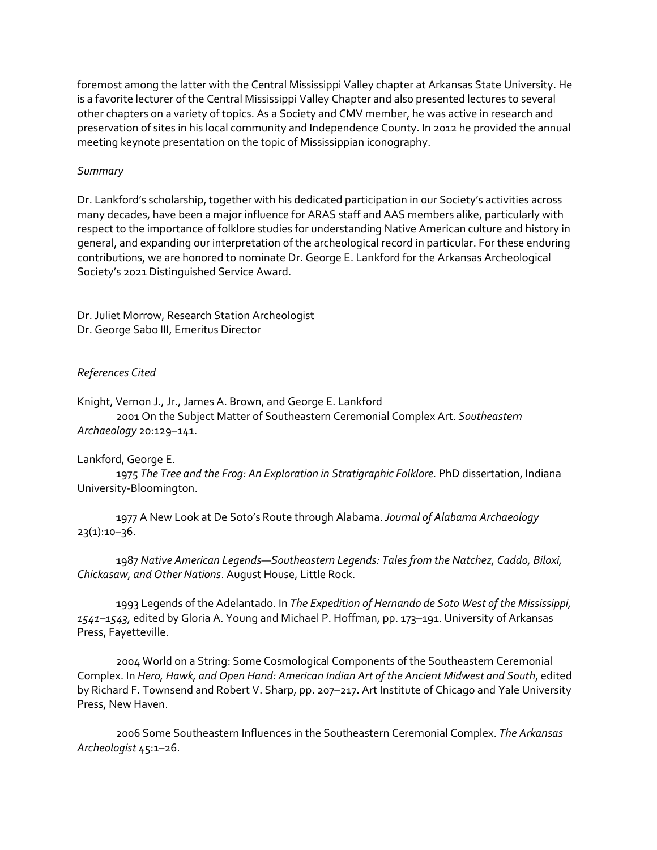foremost among the latter with the Central Mississippi Valley chapter at Arkansas State University. He is a favorite lecturer of the Central Mississippi Valley Chapter and also presented lectures to several other chapters on a variety of topics. As a Society and CMV member, he was active in research and preservation of sites in his local community and Independence County. In 2012 he provided the annual meeting keynote presentation on the topic of Mississippian iconography.

# *Summary*

Dr. Lankford's scholarship, together with his dedicated participation in our Society's activities across many decades, have been a major influence for ARAS staff and AAS members alike, particularly with respect to the importance of folklore studies for understanding Native American culture and history in general, and expanding our interpretation of the archeological record in particular. For these enduring contributions, we are honored to nominate Dr. George E. Lankford for the Arkansas Archeological Society's 2021 Distinguished Service Award.

Dr. Juliet Morrow, Research Station Archeologist Dr. George Sabo III, Emeritus Director

# *References Cited*

Knight, Vernon J., Jr., James A. Brown, and George E. Lankford 2001 On the Subject Matter of Southeastern Ceremonial Complex Art. *Southeastern Archaeology* 20:129–141.

### Lankford, George E.

1975 *The Tree and the Frog: An Exploration in Stratigraphic Folklore.* PhD dissertation, Indiana University-Bloomington.

1977 A New Look at De Soto's Route through Alabama. *Journal of Alabama Archaeology*  $23(1):10-36.$ 

1987 *Native American Legends—Southeastern Legends: Tales from the Natchez, Caddo, Biloxi, Chickasaw, and Other Nations*. August House, Little Rock.

1993 Legends of the Adelantado. In *The Expedition of Hernando de Soto West of the Mississippi, 1541–1543,* edited by Gloria A. Young and Michael P. Hoffman, pp. 173–191. University of Arkansas Press, Fayetteville.

2004 World on a String: Some Cosmological Components of the Southeastern Ceremonial Complex. In *Hero, Hawk, and Open Hand: American Indian Art of the Ancient Midwest and South*, edited by Richard F. Townsend and Robert V. Sharp, pp. 207–217. Art Institute of Chicago and Yale University Press, New Haven.

2006 Some Southeastern Influences in the Southeastern Ceremonial Complex. *The Arkansas Archeologist* 45:1–26.